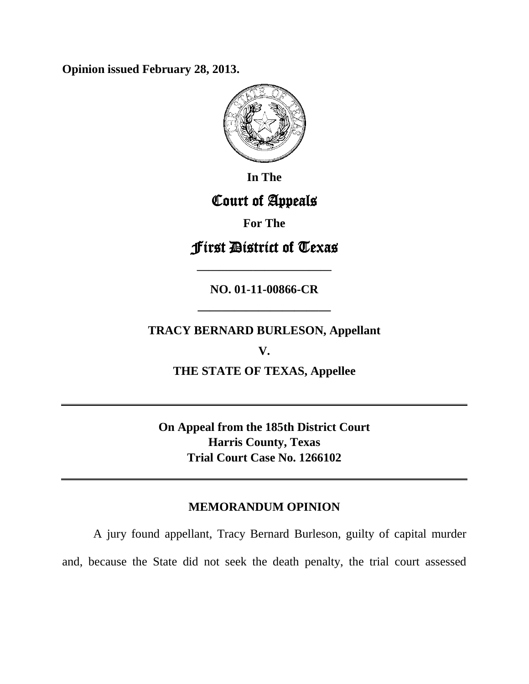**Opinion issued February 28, 2013.**



**In The**

# Court of Appeals

**For The**

# First District of Texas

**NO. 01-11-00866-CR**

**————————————**

**TRACY BERNARD BURLESON, Appellant**

**———————————**

**V.**

**THE STATE OF TEXAS, Appellee**

**On Appeal from the 185th District Court Harris County, Texas Trial Court Case No. 1266102**

## **MEMORANDUM OPINION**

A jury found appellant, Tracy Bernard Burleson, guilty of capital murder and, because the State did not seek the death penalty, the trial court assessed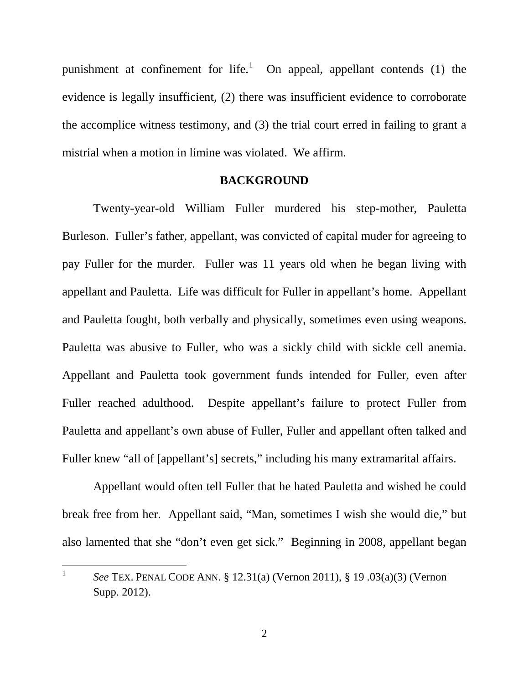punishment at confinement for life.<sup>[1](#page-1-0)</sup> On appeal, appellant contends  $(1)$  the evidence is legally insufficient, (2) there was insufficient evidence to corroborate the accomplice witness testimony, and (3) the trial court erred in failing to grant a mistrial when a motion in limine was violated. We affirm.

### **BACKGROUND**

Twenty-year-old William Fuller murdered his step-mother, Pauletta Burleson. Fuller's father, appellant, was convicted of capital muder for agreeing to pay Fuller for the murder. Fuller was 11 years old when he began living with appellant and Pauletta. Life was difficult for Fuller in appellant's home. Appellant and Pauletta fought, both verbally and physically, sometimes even using weapons. Pauletta was abusive to Fuller, who was a sickly child with sickle cell anemia. Appellant and Pauletta took government funds intended for Fuller, even after Fuller reached adulthood. Despite appellant's failure to protect Fuller from Pauletta and appellant's own abuse of Fuller, Fuller and appellant often talked and Fuller knew "all of [appellant's] secrets," including his many extramarital affairs.

Appellant would often tell Fuller that he hated Pauletta and wished he could break free from her. Appellant said, "Man, sometimes I wish she would die," but also lamented that she "don't even get sick." Beginning in 2008, appellant began

<span id="page-1-0"></span><sup>&</sup>lt;sup>1</sup> *See* TEX. PENAL CODE ANN. § 12.31(a) (Vernon 2011), § 19 .03(a)(3) (Vernon Supp. 2012).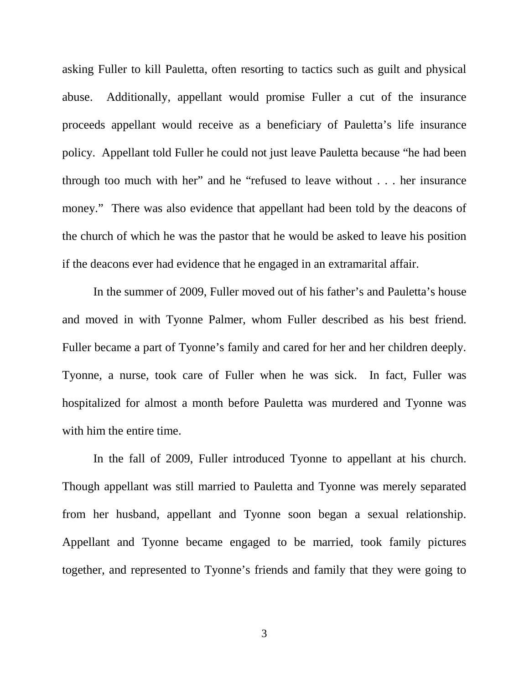asking Fuller to kill Pauletta, often resorting to tactics such as guilt and physical abuse. Additionally, appellant would promise Fuller a cut of the insurance proceeds appellant would receive as a beneficiary of Pauletta's life insurance policy. Appellant told Fuller he could not just leave Pauletta because "he had been through too much with her" and he "refused to leave without . . . her insurance money." There was also evidence that appellant had been told by the deacons of the church of which he was the pastor that he would be asked to leave his position if the deacons ever had evidence that he engaged in an extramarital affair.

In the summer of 2009, Fuller moved out of his father's and Pauletta's house and moved in with Tyonne Palmer, whom Fuller described as his best friend. Fuller became a part of Tyonne's family and cared for her and her children deeply. Tyonne, a nurse, took care of Fuller when he was sick. In fact, Fuller was hospitalized for almost a month before Pauletta was murdered and Tyonne was with him the entire time.

In the fall of 2009, Fuller introduced Tyonne to appellant at his church. Though appellant was still married to Pauletta and Tyonne was merely separated from her husband, appellant and Tyonne soon began a sexual relationship. Appellant and Tyonne became engaged to be married, took family pictures together, and represented to Tyonne's friends and family that they were going to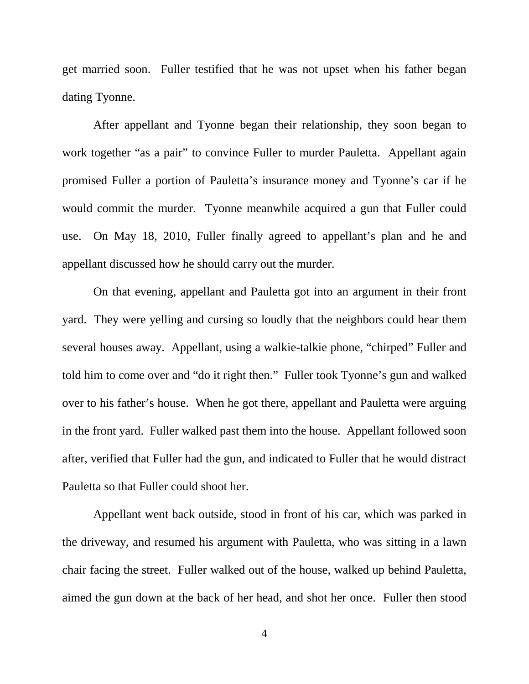get married soon. Fuller testified that he was not upset when his father began dating Tyonne.

After appellant and Tyonne began their relationship, they soon began to work together "as a pair" to convince Fuller to murder Pauletta. Appellant again promised Fuller a portion of Pauletta's insurance money and Tyonne's car if he would commit the murder. Tyonne meanwhile acquired a gun that Fuller could use. On May 18, 2010, Fuller finally agreed to appellant's plan and he and appellant discussed how he should carry out the murder.

On that evening, appellant and Pauletta got into an argument in their front yard. They were yelling and cursing so loudly that the neighbors could hear them several houses away. Appellant, using a walkie-talkie phone, "chirped" Fuller and told him to come over and "do it right then." Fuller took Tyonne's gun and walked over to his father's house. When he got there, appellant and Pauletta were arguing in the front yard. Fuller walked past them into the house. Appellant followed soon after, verified that Fuller had the gun, and indicated to Fuller that he would distract Pauletta so that Fuller could shoot her.

Appellant went back outside, stood in front of his car, which was parked in the driveway, and resumed his argument with Pauletta, who was sitting in a lawn chair facing the street. Fuller walked out of the house, walked up behind Pauletta, aimed the gun down at the back of her head, and shot her once. Fuller then stood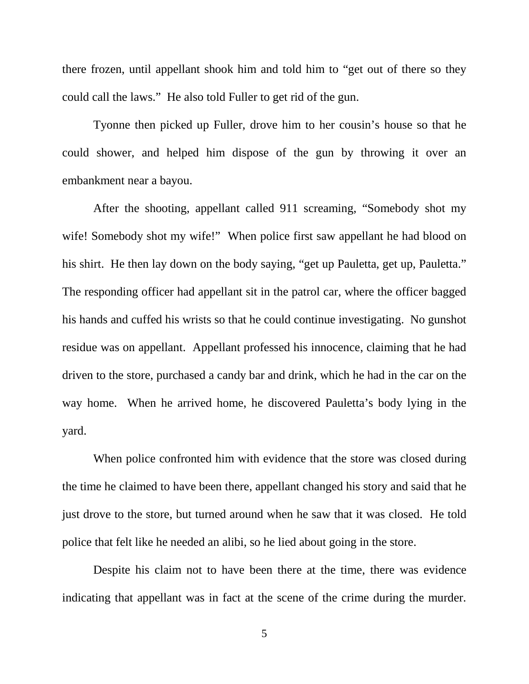there frozen, until appellant shook him and told him to "get out of there so they could call the laws." He also told Fuller to get rid of the gun.

Tyonne then picked up Fuller, drove him to her cousin's house so that he could shower, and helped him dispose of the gun by throwing it over an embankment near a bayou.

After the shooting, appellant called 911 screaming, "Somebody shot my wife! Somebody shot my wife!" When police first saw appellant he had blood on his shirt. He then lay down on the body saying, "get up Pauletta, get up, Pauletta." The responding officer had appellant sit in the patrol car, where the officer bagged his hands and cuffed his wrists so that he could continue investigating. No gunshot residue was on appellant. Appellant professed his innocence, claiming that he had driven to the store, purchased a candy bar and drink, which he had in the car on the way home. When he arrived home, he discovered Pauletta's body lying in the yard.

When police confronted him with evidence that the store was closed during the time he claimed to have been there, appellant changed his story and said that he just drove to the store, but turned around when he saw that it was closed. He told police that felt like he needed an alibi, so he lied about going in the store.

Despite his claim not to have been there at the time, there was evidence indicating that appellant was in fact at the scene of the crime during the murder.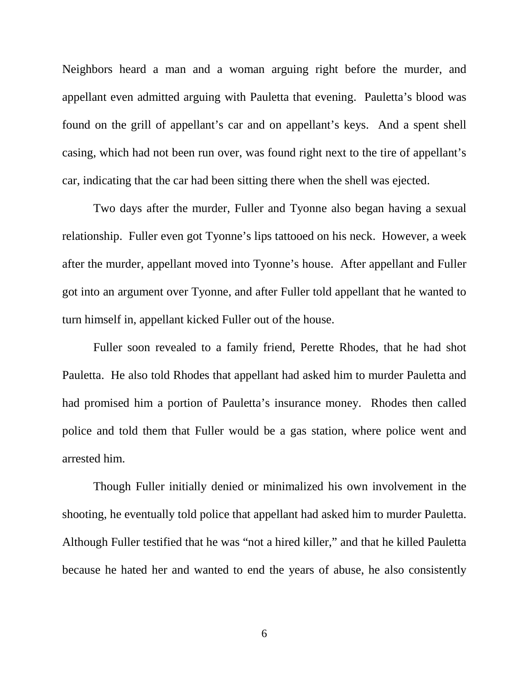Neighbors heard a man and a woman arguing right before the murder, and appellant even admitted arguing with Pauletta that evening. Pauletta's blood was found on the grill of appellant's car and on appellant's keys. And a spent shell casing, which had not been run over, was found right next to the tire of appellant's car, indicating that the car had been sitting there when the shell was ejected.

Two days after the murder, Fuller and Tyonne also began having a sexual relationship. Fuller even got Tyonne's lips tattooed on his neck. However, a week after the murder, appellant moved into Tyonne's house. After appellant and Fuller got into an argument over Tyonne, and after Fuller told appellant that he wanted to turn himself in, appellant kicked Fuller out of the house.

Fuller soon revealed to a family friend, Perette Rhodes, that he had shot Pauletta. He also told Rhodes that appellant had asked him to murder Pauletta and had promised him a portion of Pauletta's insurance money. Rhodes then called police and told them that Fuller would be a gas station, where police went and arrested him.

Though Fuller initially denied or minimalized his own involvement in the shooting, he eventually told police that appellant had asked him to murder Pauletta. Although Fuller testified that he was "not a hired killer," and that he killed Pauletta because he hated her and wanted to end the years of abuse, he also consistently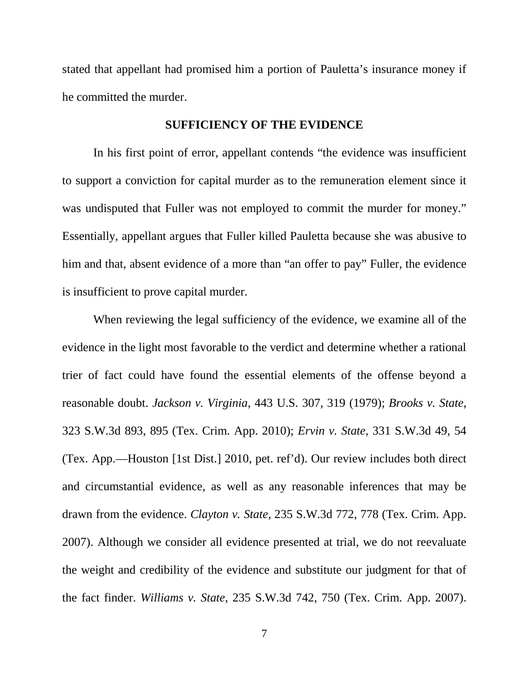stated that appellant had promised him a portion of Pauletta's insurance money if he committed the murder.

### **SUFFICIENCY OF THE EVIDENCE**

In his first point of error, appellant contends "the evidence was insufficient to support a conviction for capital murder as to the remuneration element since it was undisputed that Fuller was not employed to commit the murder for money." Essentially, appellant argues that Fuller killed Pauletta because she was abusive to him and that, absent evidence of a more than "an offer to pay" Fuller, the evidence is insufficient to prove capital murder.

When reviewing the legal sufficiency of the evidence, we examine all of the evidence in the light most favorable to the verdict and determine whether a rational trier of fact could have found the essential elements of the offense beyond a reasonable doubt. *Jackson v. Virginia*, 443 U.S. 307, 319 (1979); *Brooks v. State*, 323 S.W.3d 893, 895 (Tex. Crim. App. 2010); *Ervin v. State*, 331 S.W.3d 49, 54 (Tex. App.—Houston [1st Dist.] 2010, pet. ref'd). Our review includes both direct and circumstantial evidence, as well as any reasonable inferences that may be drawn from the evidence. *Clayton v. State*, 235 S.W.3d 772, 778 (Tex. Crim. App. 2007). Although we consider all evidence presented at trial, we do not reevaluate the weight and credibility of the evidence and substitute our judgment for that of the fact finder. *Williams v. State*, 235 S.W.3d 742, 750 (Tex. Crim. App. 2007).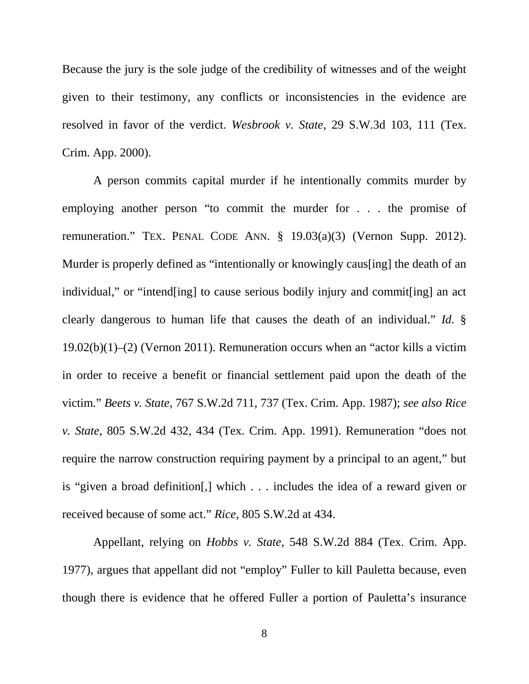Because the jury is the sole judge of the credibility of witnesses and of the weight given to their testimony, any conflicts or inconsistencies in the evidence are resolved in favor of the verdict. *Wesbrook v. State*, 29 S.W.3d 103, 111 (Tex. Crim. App. 2000).

A person commits capital murder if he intentionally commits murder by employing another person "to commit the murder for . . . the promise of remuneration." TEX. PENAL CODE ANN. § 19.03(a)(3) (Vernon Supp. 2012). Murder is properly defined as "intentionally or knowingly caus[ing] the death of an individual," or "intend[ing] to cause serious bodily injury and commit[ing] an act clearly dangerous to human life that causes the death of an individual." *Id.* § 19.02(b)(1)–(2) (Vernon 2011). Remuneration occurs when an "actor kills a victim in order to receive a benefit or financial settlement paid upon the death of the victim." *Beets v. State*, 767 S.W.2d 711, 737 (Tex. Crim. App. 1987); *see also Rice v. State*, 805 S.W.2d 432, 434 (Tex. Crim. App. 1991). Remuneration "does not require the narrow construction requiring payment by a principal to an agent," but is "given a broad definition[,] which . . . includes the idea of a reward given or received because of some act." *Rice*, 805 S.W.2d at 434.

Appellant, relying on *Hobbs v. State*, 548 S.W.2d 884 (Tex. Crim. App. 1977), argues that appellant did not "employ" Fuller to kill Pauletta because, even though there is evidence that he offered Fuller a portion of Pauletta's insurance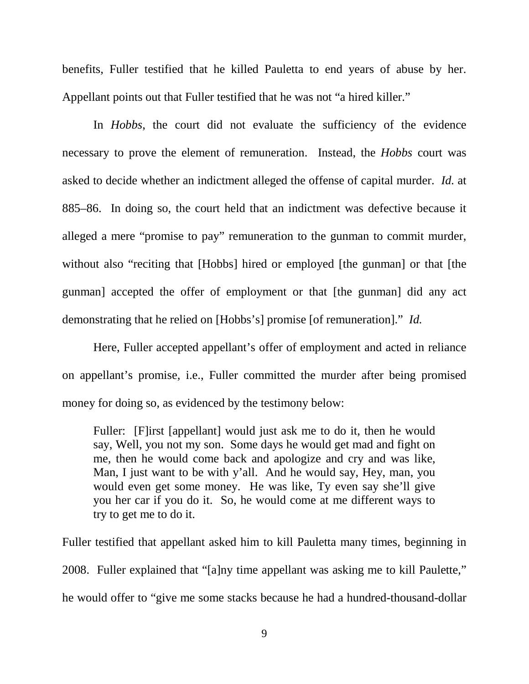benefits, Fuller testified that he killed Pauletta to end years of abuse by her. Appellant points out that Fuller testified that he was not "a hired killer."

In *Hobbs*, the court did not evaluate the sufficiency of the evidence necessary to prove the element of remuneration. Instead, the *Hobbs* court was asked to decide whether an indictment alleged the offense of capital murder. *Id.* at 885–86. In doing so, the court held that an indictment was defective because it alleged a mere "promise to pay" remuneration to the gunman to commit murder, without also "reciting that [Hobbs] hired or employed [the gunman] or that [the gunman] accepted the offer of employment or that [the gunman] did any act demonstrating that he relied on [Hobbs's] promise [of remuneration]." *Id.*

Here, Fuller accepted appellant's offer of employment and acted in reliance on appellant's promise, i.e., Fuller committed the murder after being promised money for doing so, as evidenced by the testimony below:

Fuller: [F]irst [appellant] would just ask me to do it, then he would say, Well, you not my son. Some days he would get mad and fight on me, then he would come back and apologize and cry and was like, Man, I just want to be with y'all. And he would say, Hey, man, you would even get some money. He was like, Ty even say she'll give you her car if you do it. So, he would come at me different ways to try to get me to do it.

Fuller testified that appellant asked him to kill Pauletta many times, beginning in 2008. Fuller explained that "[a]ny time appellant was asking me to kill Paulette," he would offer to "give me some stacks because he had a hundred-thousand-dollar

9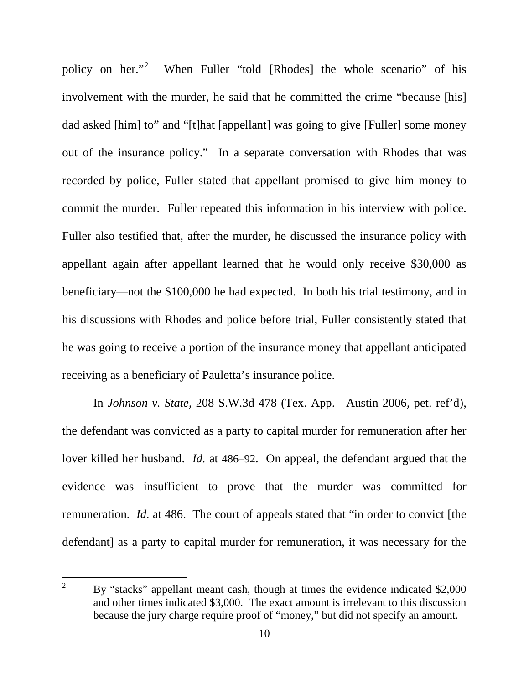policy on her."<sup>[2](#page-9-0)</sup> When Fuller "told [Rhodes] the whole scenario" of his involvement with the murder, he said that he committed the crime "because [his] dad asked [him] to" and "[t]hat [appellant] was going to give [Fuller] some money out of the insurance policy." In a separate conversation with Rhodes that was recorded by police, Fuller stated that appellant promised to give him money to commit the murder. Fuller repeated this information in his interview with police. Fuller also testified that, after the murder, he discussed the insurance policy with appellant again after appellant learned that he would only receive \$30,000 as beneficiary—not the \$100,000 he had expected. In both his trial testimony, and in his discussions with Rhodes and police before trial, Fuller consistently stated that he was going to receive a portion of the insurance money that appellant anticipated receiving as a beneficiary of Pauletta's insurance police.

In *Johnson v. State*, 208 S.W.3d 478 (Tex. App.—Austin 2006, pet. ref'd), the defendant was convicted as a party to capital murder for remuneration after her lover killed her husband. *Id.* at 486–92. On appeal, the defendant argued that the evidence was insufficient to prove that the murder was committed for remuneration. *Id.* at 486. The court of appeals stated that "in order to convict [the defendant] as a party to capital murder for remuneration, it was necessary for the

<span id="page-9-0"></span> <sup>2</sup> By "stacks" appellant meant cash, though at times the evidence indicated \$2,000 and other times indicated \$3,000. The exact amount is irrelevant to this discussion because the jury charge require proof of "money," but did not specify an amount.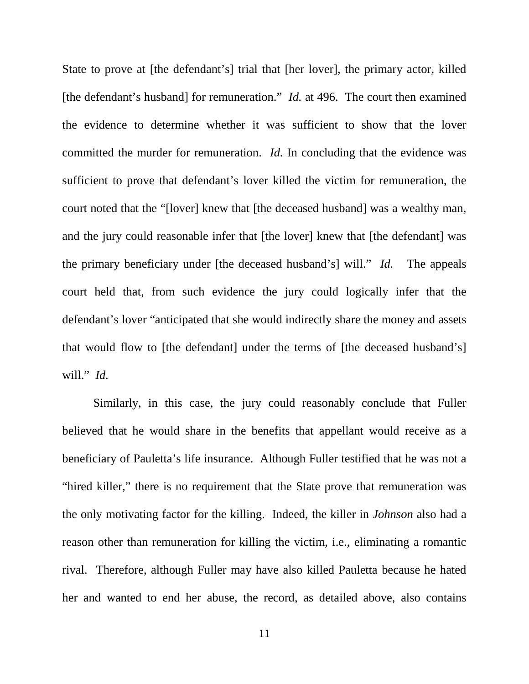State to prove at [the defendant's] trial that [her lover], the primary actor, killed [the defendant's husband] for remuneration." *Id.* at 496. The court then examined the evidence to determine whether it was sufficient to show that the lover committed the murder for remuneration. *Id.* In concluding that the evidence was sufficient to prove that defendant's lover killed the victim for remuneration, the court noted that the "[lover] knew that [the deceased husband] was a wealthy man, and the jury could reasonable infer that [the lover] knew that [the defendant] was the primary beneficiary under [the deceased husband's] will." *Id.* The appeals court held that, from such evidence the jury could logically infer that the defendant's lover "anticipated that she would indirectly share the money and assets that would flow to [the defendant] under the terms of [the deceased husband's] will." *Id.*

Similarly, in this case, the jury could reasonably conclude that Fuller believed that he would share in the benefits that appellant would receive as a beneficiary of Pauletta's life insurance. Although Fuller testified that he was not a "hired killer," there is no requirement that the State prove that remuneration was the only motivating factor for the killing. Indeed, the killer in *Johnson* also had a reason other than remuneration for killing the victim, i.e., eliminating a romantic rival. Therefore, although Fuller may have also killed Pauletta because he hated her and wanted to end her abuse, the record, as detailed above, also contains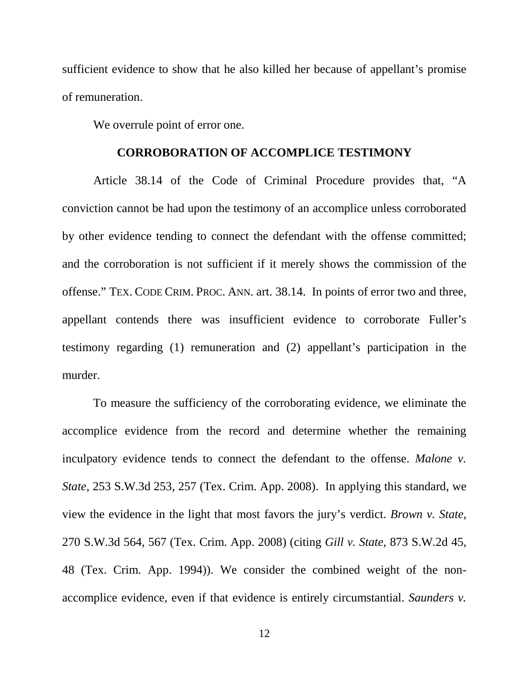sufficient evidence to show that he also killed her because of appellant's promise of remuneration.

We overrule point of error one.

#### **CORROBORATION OF ACCOMPLICE TESTIMONY**

Article 38.14 of the Code of Criminal Procedure provides that, "A conviction cannot be had upon the testimony of an accomplice unless corroborated by other evidence tending to connect the defendant with the offense committed; and the corroboration is not sufficient if it merely shows the commission of the offense." TEX. CODE CRIM. PROC. ANN. art. 38.14. In points of error two and three, appellant contends there was insufficient evidence to corroborate Fuller's testimony regarding (1) remuneration and (2) appellant's participation in the murder.

To measure the sufficiency of the corroborating evidence, we eliminate the accomplice evidence from the record and determine whether the remaining inculpatory evidence tends to connect the defendant to the offense. *Malone v. State*, 253 S.W.3d 253, 257 (Tex. Crim. App. 2008). In applying this standard, we view the evidence in the light that most favors the jury's verdict. *Brown v. State*, 270 S.W.3d 564, 567 (Tex. Crim. App. 2008) (citing *Gill v. State*, 873 S.W.2d 45, 48 (Tex. Crim. App. 1994)). We consider the combined weight of the nonaccomplice evidence, even if that evidence is entirely circumstantial. *Saunders v.*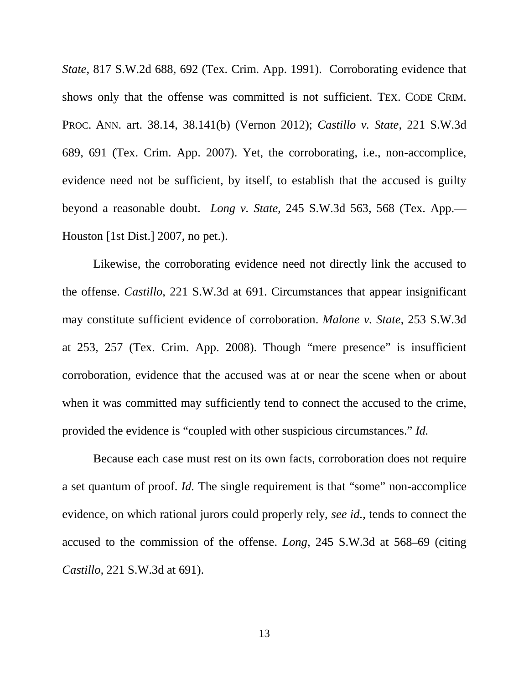*State*, 817 S.W.2d 688, 692 (Tex. Crim. App. 1991). Corroborating evidence that shows only that the offense was committed is not sufficient. TEX. CODE CRIM. PROC. ANN. art. 38.14, 38.141(b) (Vernon 2012); *Castillo v. State*, 221 S.W.3d 689, 691 (Tex. Crim. App. 2007). Yet, the corroborating, i.e., non-accomplice, evidence need not be sufficient, by itself, to establish that the accused is guilty beyond a reasonable doubt. *Long v. State*, 245 S.W.3d 563, 568 (Tex. App.— Houston [1st Dist.] 2007, no pet.).

Likewise, the corroborating evidence need not directly link the accused to the offense. *Castillo*, 221 S.W.3d at 691. Circumstances that appear insignificant may constitute sufficient evidence of corroboration. *Malone v. State*, 253 S.W.3d at 253, 257 (Tex. Crim. App. 2008). Though "mere presence" is insufficient corroboration, evidence that the accused was at or near the scene when or about when it was committed may sufficiently tend to connect the accused to the crime, provided the evidence is "coupled with other suspicious circumstances." *Id.*

Because each case must rest on its own facts, corroboration does not require a set quantum of proof. *Id.* The single requirement is that "some" non-accomplice evidence, on which rational jurors could properly rely, *see id.,* tends to connect the accused to the commission of the offense. *Long*, 245 S.W.3d at 568–69 (citing *Castillo,* 221 S.W.3d at 691).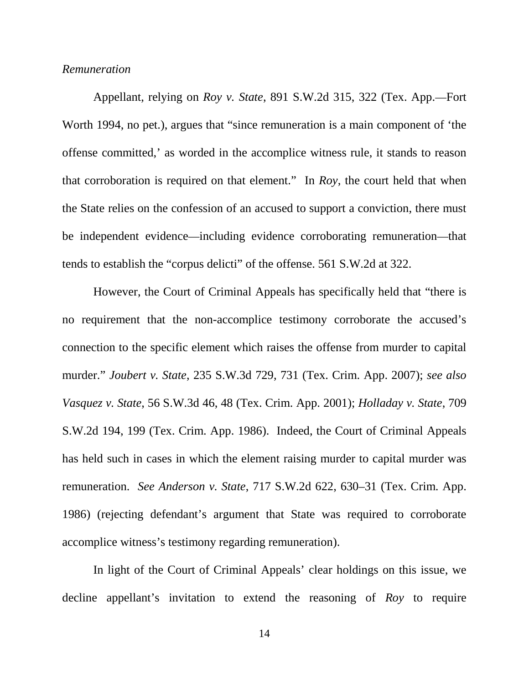## *Remuneration*

Appellant, relying on *Roy v. State*, 891 S.W.2d 315, 322 (Tex. App.—Fort Worth 1994, no pet.), argues that "since remuneration is a main component of 'the offense committed,' as worded in the accomplice witness rule, it stands to reason that corroboration is required on that element." In *Roy*, the court held that when the State relies on the confession of an accused to support a conviction, there must be independent evidence—including evidence corroborating remuneration—that tends to establish the "corpus delicti" of the offense. 561 S.W.2d at 322.

However, the Court of Criminal Appeals has specifically held that "there is no requirement that the non-accomplice testimony corroborate the accused's connection to the specific element which raises the offense from murder to capital murder." *Joubert v. State*, 235 S.W.3d 729, 731 (Tex. Crim. App. 2007); *see also Vasquez v. State*, 56 S.W.3d 46, 48 (Tex. Crim. App. 2001); *Holladay v. State*, 709 S.W.2d 194, 199 (Tex. Crim. App. 1986). Indeed, the Court of Criminal Appeals has held such in cases in which the element raising murder to capital murder was remuneration. *See Anderson v. State*, 717 S.W.2d 622, 630–31 (Tex. Crim. App. 1986) (rejecting defendant's argument that State was required to corroborate accomplice witness's testimony regarding remuneration).

In light of the Court of Criminal Appeals' clear holdings on this issue, we decline appellant's invitation to extend the reasoning of *Roy* to require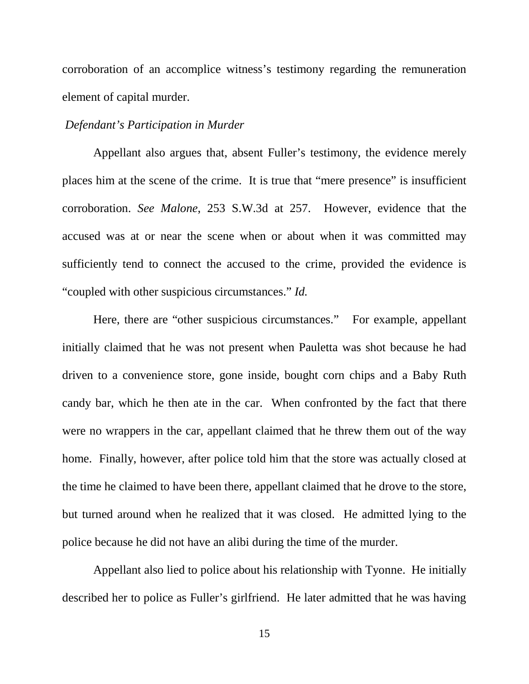corroboration of an accomplice witness's testimony regarding the remuneration element of capital murder.

## *Defendant's Participation in Murder*

Appellant also argues that, absent Fuller's testimony, the evidence merely places him at the scene of the crime. It is true that "mere presence" is insufficient corroboration. *See Malone*, 253 S.W.3d at 257. However, evidence that the accused was at or near the scene when or about when it was committed may sufficiently tend to connect the accused to the crime, provided the evidence is "coupled with other suspicious circumstances." *Id.*

Here, there are "other suspicious circumstances." For example, appellant initially claimed that he was not present when Pauletta was shot because he had driven to a convenience store, gone inside, bought corn chips and a Baby Ruth candy bar, which he then ate in the car. When confronted by the fact that there were no wrappers in the car, appellant claimed that he threw them out of the way home. Finally, however, after police told him that the store was actually closed at the time he claimed to have been there, appellant claimed that he drove to the store, but turned around when he realized that it was closed. He admitted lying to the police because he did not have an alibi during the time of the murder.

Appellant also lied to police about his relationship with Tyonne. He initially described her to police as Fuller's girlfriend. He later admitted that he was having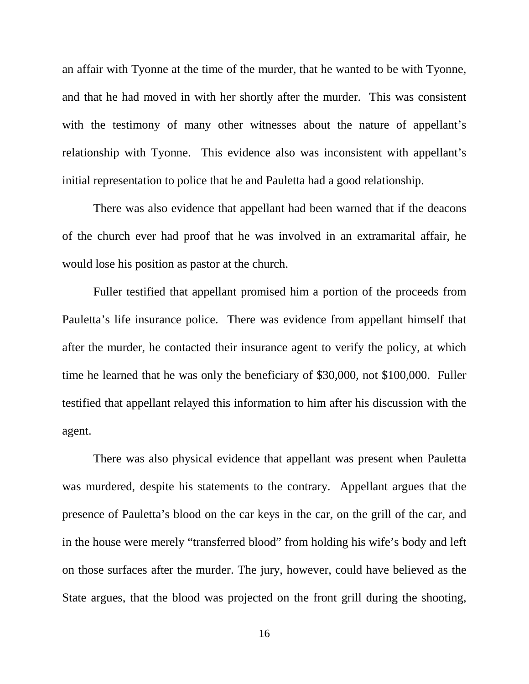an affair with Tyonne at the time of the murder, that he wanted to be with Tyonne, and that he had moved in with her shortly after the murder. This was consistent with the testimony of many other witnesses about the nature of appellant's relationship with Tyonne. This evidence also was inconsistent with appellant's initial representation to police that he and Pauletta had a good relationship.

There was also evidence that appellant had been warned that if the deacons of the church ever had proof that he was involved in an extramarital affair, he would lose his position as pastor at the church.

Fuller testified that appellant promised him a portion of the proceeds from Pauletta's life insurance police. There was evidence from appellant himself that after the murder, he contacted their insurance agent to verify the policy, at which time he learned that he was only the beneficiary of \$30,000, not \$100,000. Fuller testified that appellant relayed this information to him after his discussion with the agent.

There was also physical evidence that appellant was present when Pauletta was murdered, despite his statements to the contrary. Appellant argues that the presence of Pauletta's blood on the car keys in the car, on the grill of the car, and in the house were merely "transferred blood" from holding his wife's body and left on those surfaces after the murder. The jury, however, could have believed as the State argues, that the blood was projected on the front grill during the shooting,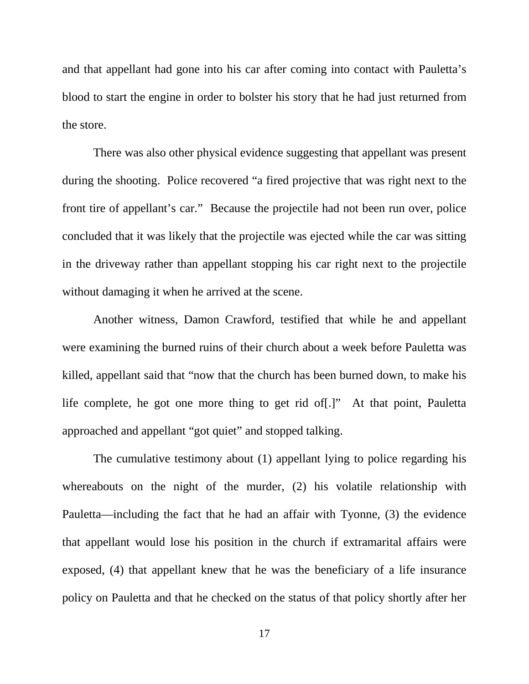and that appellant had gone into his car after coming into contact with Pauletta's blood to start the engine in order to bolster his story that he had just returned from the store.

There was also other physical evidence suggesting that appellant was present during the shooting. Police recovered "a fired projective that was right next to the front tire of appellant's car." Because the projectile had not been run over, police concluded that it was likely that the projectile was ejected while the car was sitting in the driveway rather than appellant stopping his car right next to the projectile without damaging it when he arrived at the scene.

Another witness, Damon Crawford, testified that while he and appellant were examining the burned ruins of their church about a week before Pauletta was killed, appellant said that "now that the church has been burned down, to make his life complete, he got one more thing to get rid of[.]" At that point, Pauletta approached and appellant "got quiet" and stopped talking.

The cumulative testimony about (1) appellant lying to police regarding his whereabouts on the night of the murder, (2) his volatile relationship with Pauletta—including the fact that he had an affair with Tyonne, (3) the evidence that appellant would lose his position in the church if extramarital affairs were exposed, (4) that appellant knew that he was the beneficiary of a life insurance policy on Pauletta and that he checked on the status of that policy shortly after her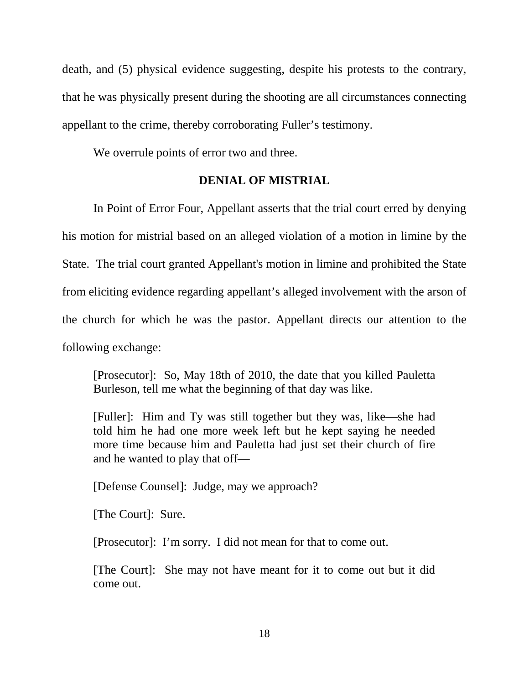death, and (5) physical evidence suggesting, despite his protests to the contrary, that he was physically present during the shooting are all circumstances connecting appellant to the crime, thereby corroborating Fuller's testimony.

We overrule points of error two and three.

## **DENIAL OF MISTRIAL**

In Point of Error Four, Appellant asserts that the trial court erred by denying his motion for mistrial based on an alleged violation of a motion in limine by the State. The trial court granted Appellant's motion in limine and prohibited the State from eliciting evidence regarding appellant's alleged involvement with the arson of the church for which he was the pastor. Appellant directs our attention to the following exchange:

[Prosecutor]: So, May 18th of 2010, the date that you killed Pauletta Burleson, tell me what the beginning of that day was like.

[Fuller]: Him and Ty was still together but they was, like—she had told him he had one more week left but he kept saying he needed more time because him and Pauletta had just set their church of fire and he wanted to play that off—

[Defense Counsel]: Judge, may we approach?

[The Court]: Sure.

[Prosecutor]: I'm sorry. I did not mean for that to come out.

[The Court]: She may not have meant for it to come out but it did come out.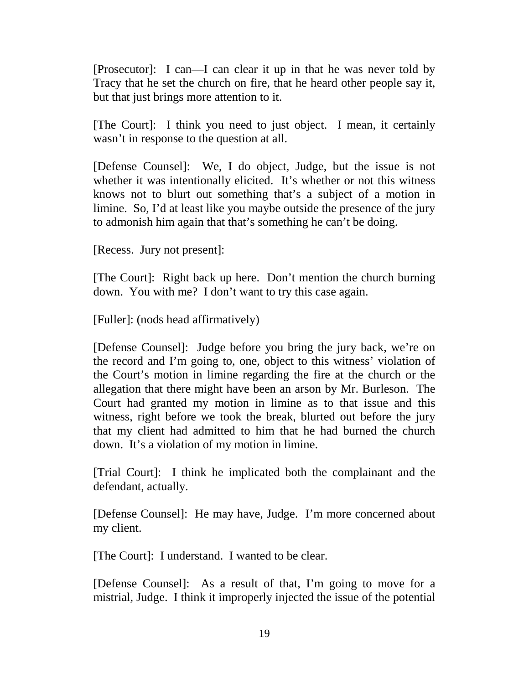[Prosecutor]: I can—I can clear it up in that he was never told by Tracy that he set the church on fire, that he heard other people say it, but that just brings more attention to it.

[The Court]: I think you need to just object. I mean, it certainly wasn't in response to the question at all.

[Defense Counsel]: We, I do object, Judge, but the issue is not whether it was intentionally elicited. It's whether or not this witness knows not to blurt out something that's a subject of a motion in limine. So, I'd at least like you maybe outside the presence of the jury to admonish him again that that's something he can't be doing.

[Recess. Jury not present]:

[The Court]: Right back up here. Don't mention the church burning down. You with me? I don't want to try this case again.

[Fuller]: (nods head affirmatively)

[Defense Counsel]: Judge before you bring the jury back, we're on the record and I'm going to, one, object to this witness' violation of the Court's motion in limine regarding the fire at the church or the allegation that there might have been an arson by Mr. Burleson. The Court had granted my motion in limine as to that issue and this witness, right before we took the break, blurted out before the jury that my client had admitted to him that he had burned the church down. It's a violation of my motion in limine.

[Trial Court]: I think he implicated both the complainant and the defendant, actually.

[Defense Counsel]: He may have, Judge. I'm more concerned about my client.

[The Court]: I understand. I wanted to be clear.

[Defense Counsel]: As a result of that, I'm going to move for a mistrial, Judge. I think it improperly injected the issue of the potential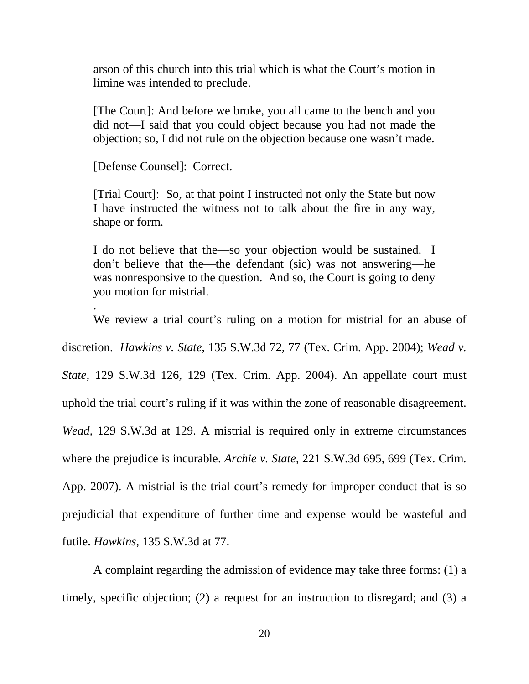arson of this church into this trial which is what the Court's motion in limine was intended to preclude.

[The Court]: And before we broke, you all came to the bench and you did not—I said that you could object because you had not made the objection; so, I did not rule on the objection because one wasn't made.

[Defense Counsel]: Correct.

.

[Trial Court]: So, at that point I instructed not only the State but now I have instructed the witness not to talk about the fire in any way, shape or form.

I do not believe that the—so your objection would be sustained. I don't believe that the—the defendant (sic) was not answering—he was nonresponsive to the question. And so, the Court is going to deny you motion for mistrial.

We review a trial court's ruling on a motion for mistrial for an abuse of discretion. *Hawkins v. State*, 135 S.W.3d 72, 77 (Tex. Crim. App. 2004); *Wead v. State*, 129 S.W.3d 126, 129 (Tex. Crim. App. 2004). An appellate court must uphold the trial court's ruling if it was within the zone of reasonable disagreement. *Wead*, 129 S.W.3d at 129. A mistrial is required only in extreme circumstances where the prejudice is incurable. *Archie v. State*, 221 S.W.3d 695, 699 (Tex. Crim. App. 2007). A mistrial is the trial court's remedy for improper conduct that is so prejudicial that expenditure of further time and expense would be wasteful and futile. *Hawkins*, 135 S.W.3d at 77.

A complaint regarding the admission of evidence may take three forms: (1) a timely, specific objection; (2) a request for an instruction to disregard; and (3) a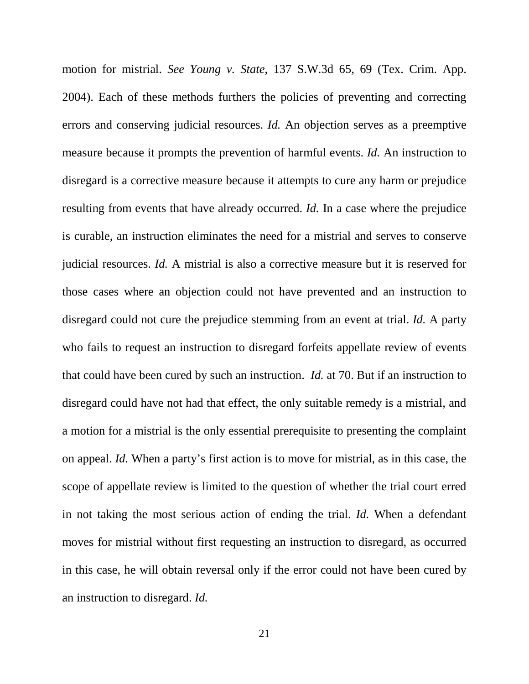motion for mistrial. *See Young v. State*, 137 S.W.3d 65, 69 (Tex. Crim. App. 2004). Each of these methods furthers the policies of preventing and correcting errors and conserving judicial resources. *Id.* An objection serves as a preemptive measure because it prompts the prevention of harmful events. *Id.* An instruction to disregard is a corrective measure because it attempts to cure any harm or prejudice resulting from events that have already occurred. *Id.* In a case where the prejudice is curable, an instruction eliminates the need for a mistrial and serves to conserve judicial resources. *Id.* A mistrial is also a corrective measure but it is reserved for those cases where an objection could not have prevented and an instruction to disregard could not cure the prejudice stemming from an event at trial. *Id.* A party who fails to request an instruction to disregard forfeits appellate review of events that could have been cured by such an instruction. *Id.* at 70. But if an instruction to disregard could have not had that effect, the only suitable remedy is a mistrial, and a motion for a mistrial is the only essential prerequisite to presenting the complaint on appeal. *Id.* When a party's first action is to move for mistrial, as in this case, the scope of appellate review is limited to the question of whether the trial court erred in not taking the most serious action of ending the trial. *Id.* When a defendant moves for mistrial without first requesting an instruction to disregard, as occurred in this case, he will obtain reversal only if the error could not have been cured by an instruction to disregard. *Id.*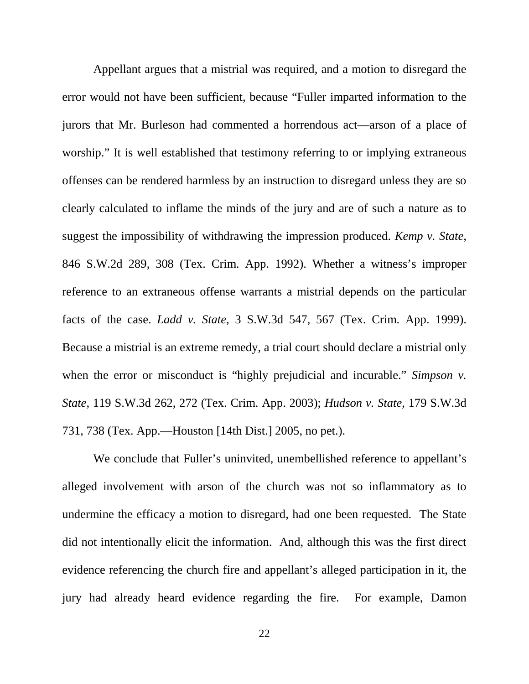Appellant argues that a mistrial was required, and a motion to disregard the error would not have been sufficient, because "Fuller imparted information to the jurors that Mr. Burleson had commented a horrendous act—arson of a place of worship." It is well established that testimony referring to or implying extraneous offenses can be rendered harmless by an instruction to disregard unless they are so clearly calculated to inflame the minds of the jury and are of such a nature as to suggest the impossibility of withdrawing the impression produced. *Kemp v. State*, 846 S.W.2d 289, 308 (Tex. Crim. App. 1992). Whether a witness's improper reference to an extraneous offense warrants a mistrial depends on the particular facts of the case. *Ladd v. State*, 3 S.W.3d 547, 567 (Tex. Crim. App. 1999). Because a mistrial is an extreme remedy, a trial court should declare a mistrial only when the error or misconduct is "highly prejudicial and incurable." *Simpson v. State*, 119 S.W.3d 262, 272 (Tex. Crim. App. 2003); *Hudson v. State*, 179 S.W.3d 731, 738 (Tex. App.—Houston [14th Dist.] 2005, no pet.).

We conclude that Fuller's uninvited, unembellished reference to appellant's alleged involvement with arson of the church was not so inflammatory as to undermine the efficacy a motion to disregard, had one been requested. The State did not intentionally elicit the information. And, although this was the first direct evidence referencing the church fire and appellant's alleged participation in it, the jury had already heard evidence regarding the fire. For example, Damon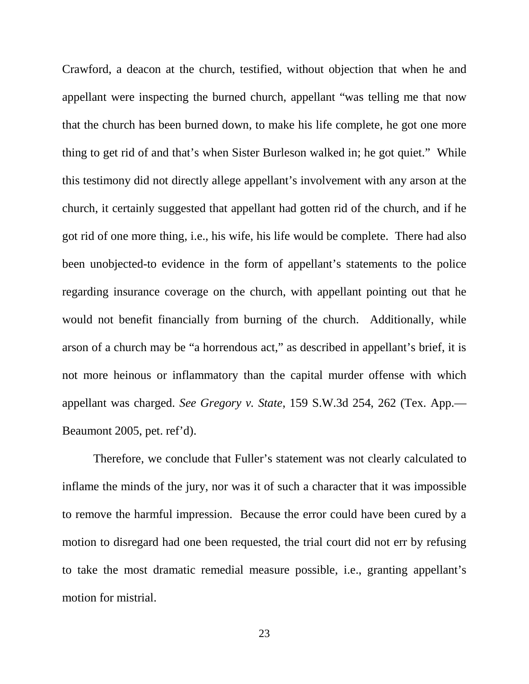Crawford, a deacon at the church, testified, without objection that when he and appellant were inspecting the burned church, appellant "was telling me that now that the church has been burned down, to make his life complete, he got one more thing to get rid of and that's when Sister Burleson walked in; he got quiet." While this testimony did not directly allege appellant's involvement with any arson at the church, it certainly suggested that appellant had gotten rid of the church, and if he got rid of one more thing, i.e., his wife, his life would be complete. There had also been unobjected-to evidence in the form of appellant's statements to the police regarding insurance coverage on the church, with appellant pointing out that he would not benefit financially from burning of the church. Additionally, while arson of a church may be "a horrendous act," as described in appellant's brief, it is not more heinous or inflammatory than the capital murder offense with which appellant was charged. *See Gregory v. State*, 159 S.W.3d 254, 262 (Tex. App.— Beaumont 2005, pet. ref'd).

Therefore, we conclude that Fuller's statement was not clearly calculated to inflame the minds of the jury, nor was it of such a character that it was impossible to remove the harmful impression. Because the error could have been cured by a motion to disregard had one been requested, the trial court did not err by refusing to take the most dramatic remedial measure possible, i.e., granting appellant's motion for mistrial.